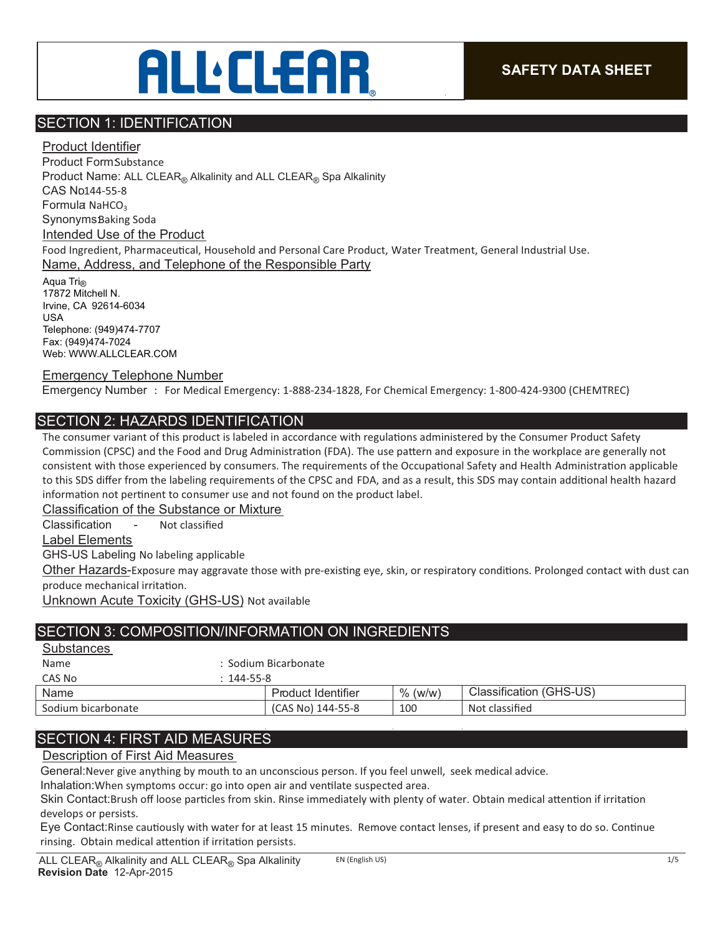## **ALLELEAR**

## SECTION 1: IDENTIFICATION

Product Identifier Product FormSubstance Product Name: ALL CLEAR® Alkalinity and ALL CLEAR® Spa Alkalinity CAS No144-55-8 Formula NaHCO<sub>3</sub> SynonymsBaking Soda Intended Use of the Product Food Ingredient, Pharmaceutical, Household and Personal Care Product, Water Treatment, General Industrial Use. Name, Address, and Telephone of the Responsible Party Aqua Tri $_{\text{R}}$ 

17872 Mitchell N. Irvine, CA 92614-6034 USA Telephone: (949)474-7707 Fax: (949)474-7024 Web: WWW.ALLCLEAR.COM

#### Emergency Telephone Number

Emergency Number : For Medical Emergency: 1-888-234-1828, For Chemical Emergency: 1-800-424-9300 (CHEMTREC)

## SECTION 2: HAZARDS IDENTIFICATION

The consumer variant of this product is labeled in accordance with regulations administered by the Consumer Product Safety Commission (CPSC) and the Food and Drug Administration (FDA). The use pattern and exposure in the workplace are generally not consistent with those experienced by consumers. The requirements of the Occupational Safety and Health Administration applicable to this SDS differ from the labeling requirements of the CPSC and FDA, and as a result, this SDS may contain additional health hazard information not pertinent to consumer use and not found on the product label.

Classification of the Substance or Mixture

Classification - Not classied

Label Elements

GHS-US Labeling No labeling applicable

Other Hazards-Exposure may aggravate those with pre-existing eye, skin, or respiratory conditions. Prolonged contact with dust can produce mechanical irritation.

Unknown Acute Toxicity (GHS-US) Not available

## SECTION 3: COMPOSITION/INFORMATION ON INGREDIENTS

Name : Sodium Bicarbonate

| CAS No             | 144-55-8           |               |                              |
|--------------------|--------------------|---------------|------------------------------|
| Name               | Product Identifier | $\%$<br>(w/w) | ⊧ (GHS-US)<br>Classification |
| Sodium bicarbonate | (CAS No) 144-55-8  | 100           | Not classified               |

## SECTION 4: FIRST AID MEASURES

Description of First Aid Measures

General: Never give anything by mouth to an unconscious person. If you feel unwell, seek medical advice.

Inhalation: When symptoms occur: go into open air and ventilate suspected area.

Skin Contact:Brush off loose particles from skin. Rinse immediately with plenty of water. Obtain medical attention if irritation develops or persists.

Eye Contact:Rinse cautiously with water for at least 15 minutes. Remove contact lenses, if present and easy to do so. Continue rinsing. Obtain medical attention if irritation persists.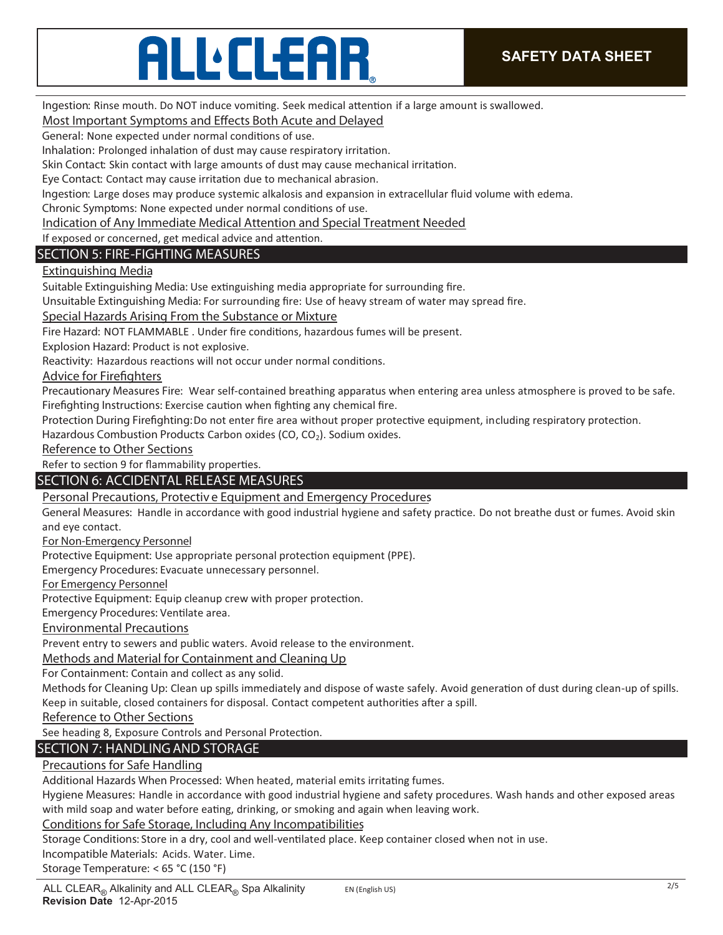# **ALLELEAR**

Ingestion: Rinse mouth. Do NOT induce vomiting. Seek medical attention if a large amount is swallowed.

### **Most Important Symptoms and Effects Both Acute and Delayed**

General: None expected under normal conditions of use.

Inhalation: Prolonged inhalation of dust may cause respiratory irritation.

Skin Contact: Skin contact with large amounts of dust may cause mechanical irritation.

Eye Contact: Contact may cause irritation due to mechanical abrasion.

Ingestion: Large doses may produce systemic alkalosis and expansion in extracellular fluid volume with edema.

Chronic Symptoms: None expected under normal conditions of use.

**Indication of Any Immediate Medical Attention and Special Treatment Needed**

If exposed or concerned, get medical advice and attention.

## **SECTION 5: FIRE-FIGHTING MEASURES**

## **Extinguishing Media**

Suitable Extinguishing Media: Use extinguishing media appropriate for surrounding fire.

Unsuitable Extinguishing Media: For surrounding fire: Use of heavy stream of water may spread fire.

**Special Hazards Arising From the Substance or Mixture** 

Fire Hazard: NOT FLAMMABLE. Under fire conditions, hazardous fumes will be present.

**Explosion Hazard:** Product is not explosive.

Reactivity: Hazardous reactions will not occur under normal conditions.

**Advice for Firefighters** 

**Precautionary Measures Fire:** Wear self-contained breathing apparatus when entering area unless atmosphere is proved to be safe. Firefighting Instructions: Exercise caution when fighting any chemical fire.

Protection During Firefighting: Do not enter fire area without proper protective equipment, including respiratory protection.

Hazardous Combustion Products Carbon oxides (CO, CO<sub>2</sub>). Sodium oxides.

**Reference to Other Sections** 

Refer to section 9 for flammability properties.

## **SECTION 6: ACCIDENTAL RELEASE MEASURES**

**Personal Precautions, Protectiv e Equipment and Emergency Procedures**

General Measures: Handle in accordance with good industrial hygiene and safety practice. Do not breathe dust or fumes. Avoid skin and eye contact.

**For Non-Emergency Personnel**

Protective Equipment: Use appropriate personal protection equipment (PPE).

**Emergency Procedures:** Evacuate unnecessary personnel.

**For Emergency Personnel**

Protective Equipment: Equip cleanup crew with proper protection.

Emergency Procedures: Ventilate area.

**Environmental Precautions**

Prevent entry to sewers and public waters. Avoid release to the environment.

**Methods and Material for Containment and Cleaning Up**

**For Containment:** Contain and collect as any solid.

Methods for Cleaning Up: Clean up spills immediately and dispose of waste safely. Avoid generation of dust during clean-up of spills. Keep in suitable, closed containers for disposal. Contact competent authorities after a spill.

**Reference to Other Sections**

See heading 8, Exposure Controls and Personal Protection.

## **SECTION 7: HANDLING AND STORAGE**

#### **Precautions for Safe Handling**

Additional Hazards When Processed: When heated, material emits irritating fumes.

**Hygiene Measures:** Handle in accordance with good industrial hygiene and safety procedures. Wash hands and other exposed areas with mild soap and water before eating, drinking, or smoking and again when leaving work.

#### **Conditions for Safe Storage, Including Any Incompatibilities**

Storage Conditions: Store in a dry, cool and well-ventilated place. Keep container closed when not in use.

**Incompatible Materials:** Acids. Water. Lime.

**Storage Temperature:** < 65 °C (150 °F)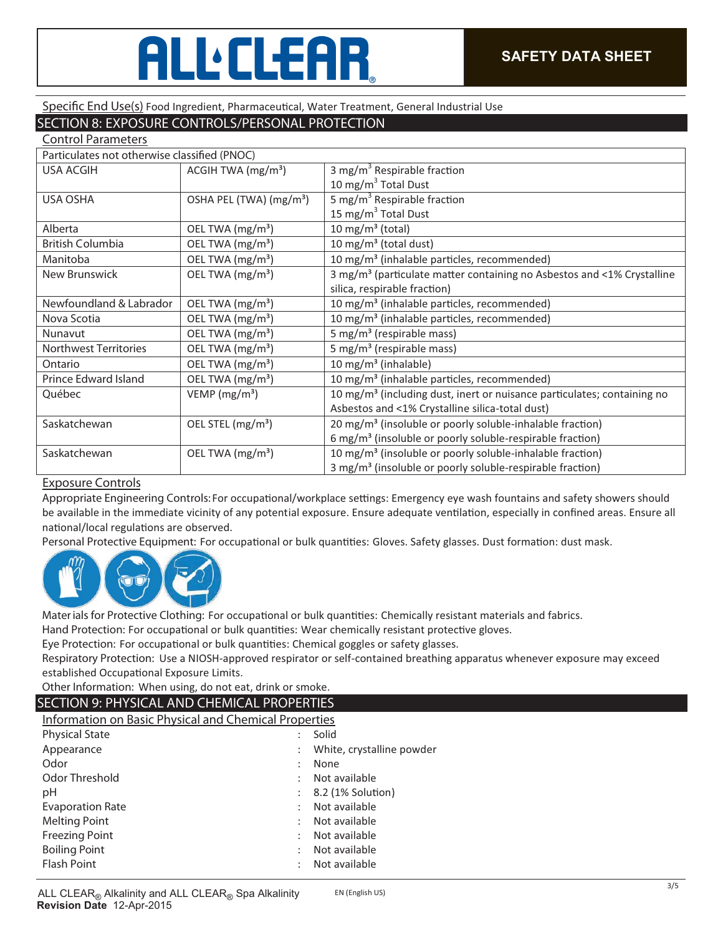# **ALL**CLEAR

#### Specific End Use(s) Food Ingredient, Pharmaceutical, Water Treatment, General Industrial Use

## **SECTION 8: EXPOSURE CONTROLS/PERSONAL PROTECTION**

| <b>Control Parameters</b>                    |                                     |                                                                                     |  |  |
|----------------------------------------------|-------------------------------------|-------------------------------------------------------------------------------------|--|--|
| Particulates not otherwise classified (PNOC) |                                     |                                                                                     |  |  |
| <b>USA ACGIH</b>                             | ACGIH TWA $(mg/m3)$                 | 3 mg/m <sup>3</sup> Respirable fraction                                             |  |  |
|                                              |                                     | 10 mg/m <sup>3</sup> Total Dust                                                     |  |  |
| <b>USA OSHA</b>                              | OSHA PEL (TWA) (mg/m <sup>3</sup> ) | 5 mg/m <sup>3</sup> Respirable fraction                                             |  |  |
|                                              |                                     | 15 mg/m <sup>3</sup> Total Dust                                                     |  |  |
| Alberta                                      | OEL TWA (mg/m <sup>3</sup> )        | 10 mg/m $3$ (total)                                                                 |  |  |
| <b>British Columbia</b>                      | OEL TWA (mg/m <sup>3</sup> )        | 10 mg/m <sup>3</sup> (total dust)                                                   |  |  |
| Manitoba                                     | OEL TWA (mg/m <sup>3</sup> )        | 10 mg/m <sup>3</sup> (inhalable particles, recommended)                             |  |  |
| New Brunswick                                | OEL TWA (mg/m <sup>3</sup> )        | 3 mg/m <sup>3</sup> (particulate matter containing no Asbestos and <1% Crystalline  |  |  |
|                                              |                                     | silica, respirable fraction)                                                        |  |  |
| Newfoundland & Labrador                      | OEL TWA (mg/m <sup>3</sup> )        | 10 mg/m <sup>3</sup> (inhalable particles, recommended)                             |  |  |
| Nova Scotia                                  | OEL TWA (mg/m <sup>3</sup> )        | 10 mg/m <sup>3</sup> (inhalable particles, recommended)                             |  |  |
| Nunavut                                      | OEL TWA (mg/m <sup>3</sup> )        | 5 mg/m <sup>3</sup> (respirable mass)                                               |  |  |
| <b>Northwest Territories</b>                 | OEL TWA (mg/m <sup>3</sup> )        | 5 mg/m <sup>3</sup> (respirable mass)                                               |  |  |
| Ontario                                      | OEL TWA (mg/m <sup>3</sup> )        | 10 mg/m <sup>3</sup> (inhalable)                                                    |  |  |
| Prince Edward Island                         | OEL TWA (mg/m <sup>3</sup> )        | 10 mg/m <sup>3</sup> (inhalable particles, recommended)                             |  |  |
| Québec                                       | VEMP ( $mg/m3$ )                    | 10 mg/m <sup>3</sup> (including dust, inert or nuisance particulates; containing no |  |  |
|                                              |                                     | Asbestos and <1% Crystalline silica-total dust)                                     |  |  |
| Saskatchewan                                 | OEL STEL (mg/m <sup>3</sup> )       | 20 mg/m <sup>3</sup> (insoluble or poorly soluble-inhalable fraction)               |  |  |
|                                              |                                     | 6 mg/m <sup>3</sup> (insoluble or poorly soluble-respirable fraction)               |  |  |
| Saskatchewan                                 | OEL TWA (mg/m <sup>3</sup> )        | 10 mg/m <sup>3</sup> (insoluble or poorly soluble-inhalable fraction)               |  |  |
|                                              |                                     | 3 mg/m <sup>3</sup> (insoluble or poorly soluble-respirable fraction)               |  |  |

#### **Exposure Controls**

Appropriate Engineering Controls: For occupational/workplace settings: Emergency eye wash fountains and safety showers should be available in the immediate vicinity of any potential exposure. Ensure adequate ventilation, especially in confined areas. Ensure all national/local regulations are observed.

Personal Protective Equipment: For occupational or bulk quantities: Gloves. Safety glasses. Dust formation: dust mask.



Mater ials for Protective Clothing: For occupational or bulk quantities: Chemically resistant materials and fabrics.

Hand Protection: For occupational or bulk quantities: Wear chemically resistant protective gloves.

Eye Protection: For occupational or bulk quantities: Chemical goggles or safety glasses.

**Respiratory Protection:** Use a NIOSH-approved respirator or self-contained breathing apparatus whenever exposure may exceed established Occupational Exposure Limits.

**Other Information:** When using, do not eat, drink or smoke.

#### **SECTION 9: PHYSICAL AND CHEMICAL PROPERTIES**

**Information on Basic Physical and Chemical Properties** 

| <b>Physical State</b>   | Solid                          |
|-------------------------|--------------------------------|
| Appearance              | White, crystalline powder      |
| Odor                    | None                           |
| Odor Threshold          | Not available                  |
| рH                      | $\therefore$ 8.2 (1% Solution) |
| <b>Evaporation Rate</b> | Not available                  |
| <b>Melting Point</b>    | Not available                  |
| <b>Freezing Point</b>   | Not available                  |
| <b>Boiling Point</b>    | Not available                  |
| <b>Flash Point</b>      | Not available                  |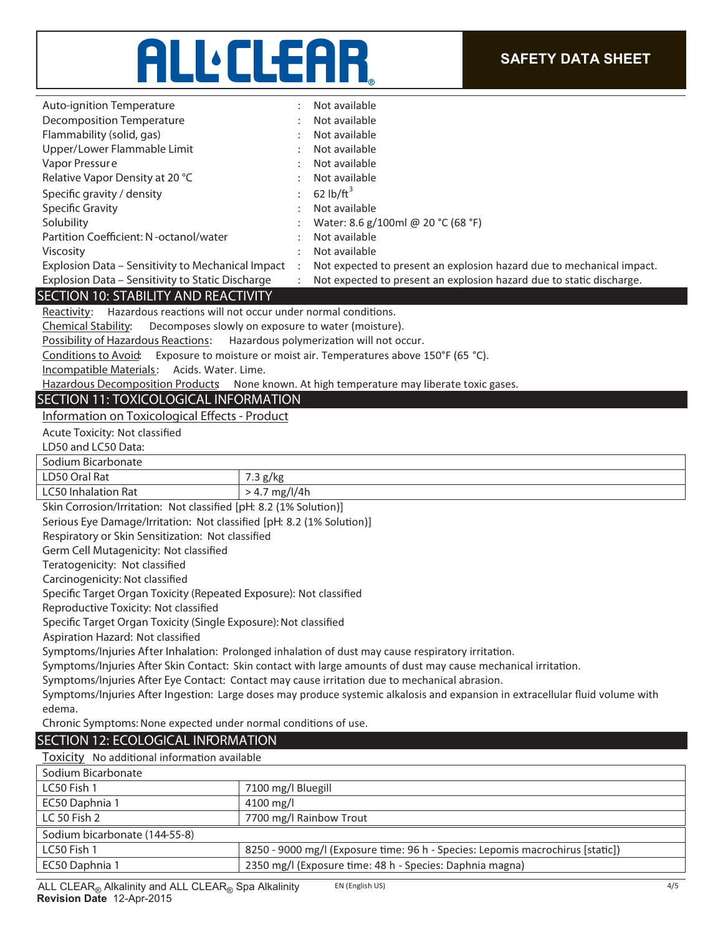## ALL'ELEAR

| <b>Auto-ignition Temperature</b>                                                                                | Not available                                                                                                                  |
|-----------------------------------------------------------------------------------------------------------------|--------------------------------------------------------------------------------------------------------------------------------|
| <b>Decomposition Temperature</b>                                                                                | Not available                                                                                                                  |
| Flammability (solid, gas)                                                                                       | Not available                                                                                                                  |
| Upper/Lower Flammable Limit                                                                                     | Not available                                                                                                                  |
| Vapor Pressure                                                                                                  | Not available                                                                                                                  |
| Relative Vapor Density at 20 °C                                                                                 | Not available                                                                                                                  |
| Specific gravity / density                                                                                      | 62 $lb/ft^3$                                                                                                                   |
| <b>Specific Gravity</b>                                                                                         | Not available                                                                                                                  |
| Solubility                                                                                                      | Water: 8.6 g/100ml @ 20 °C (68 °F)                                                                                             |
| Partition Coefficient: N-octanol/water                                                                          | Not available                                                                                                                  |
| Viscosity                                                                                                       | Not available                                                                                                                  |
| Explosion Data - Sensitivity to Mechanical Impact                                                               | Not expected to present an explosion hazard due to mechanical impact.                                                          |
| Explosion Data - Sensitivity to Static Discharge                                                                | Not expected to present an explosion hazard due to static discharge.                                                           |
| SECTION 10: STABILITY AND REACTIVITY<br>Reactivity: Hazardous reactions will not occur under normal conditions. |                                                                                                                                |
|                                                                                                                 |                                                                                                                                |
| Chemical Stability:<br><b>Possibility of Hazardous Reactions:</b>                                               | Decomposes slowly on exposure to water (moisture).<br>Hazardous polymerization will not occur.                                 |
| Conditions to Avoid:                                                                                            | Exposure to moisture or moist air. Temperatures above 150°F (65 °C).                                                           |
| Incompatible Materials: Acids. Water. Lime.                                                                     |                                                                                                                                |
|                                                                                                                 | Hazardous Decomposition Products None known. At high temperature may liberate toxic gases.                                     |
| SECTION 11: TOXICOLOGICAL INFORMATION                                                                           |                                                                                                                                |
| Information on Toxicological Effects - Product                                                                  |                                                                                                                                |
| Acute Toxicity: Not classified                                                                                  |                                                                                                                                |
| LD50 and LC50 Data:                                                                                             |                                                                                                                                |
| Sodium Bicarbonate                                                                                              |                                                                                                                                |
| LD50 Oral Rat                                                                                                   | 7.3 g/kg                                                                                                                       |
| <b>LC50 Inhalation Rat</b>                                                                                      | $> 4.7$ mg/l/4h                                                                                                                |
| Skin Corrosion/Irritation: Not classified [pH: 8.2 (1% Solution)]                                               |                                                                                                                                |
| Serious Eye Damage/Irritation: Not classified [pH: 8.2 (1% Solution)]                                           |                                                                                                                                |
| Respiratory or Skin Sensitization: Not classified                                                               |                                                                                                                                |
| Germ Cell Mutagenicity: Not classified                                                                          |                                                                                                                                |
| Teratogenicity: Not classified                                                                                  |                                                                                                                                |
| Carcinogenicity: Not classified                                                                                 |                                                                                                                                |
| Specific Target Organ Toxicity (Repeated Exposure): Not classified                                              |                                                                                                                                |
| Reproductive Toxicity: Not classified                                                                           |                                                                                                                                |
| Specific Target Organ Toxicity (Single Exposure): Not classified                                                |                                                                                                                                |
| Aspiration Hazard: Not classified                                                                               |                                                                                                                                |
|                                                                                                                 | Symptoms/Injuries After Inhalation: Prolonged inhalation of dust may cause respiratory irritation.                             |
|                                                                                                                 | Symptoms/Injuries After Skin Contact: Skin contact with large amounts of dust may cause mechanical irritation.                 |
|                                                                                                                 | Symptoms/Injuries After Eye Contact: Contact may cause irritation due to mechanical abrasion.                                  |
|                                                                                                                 | Symptoms/Injuries After Ingestion: Large doses may produce systemic alkalosis and expansion in extracellular fluid volume with |
| edema.                                                                                                          |                                                                                                                                |
| Chronic Symptoms: None expected under normal conditions of use.                                                 |                                                                                                                                |
| SECTION 12: ECOLOGICAL INFORMATION                                                                              |                                                                                                                                |
| Toxicity No additional information available                                                                    |                                                                                                                                |
| Sodium Bicarbonate                                                                                              |                                                                                                                                |
| LC50 Fish 1                                                                                                     | 7100 mg/l Bluegill                                                                                                             |
| EC50 Daphnia 1                                                                                                  | 4100 mg/l                                                                                                                      |
| LC 50 Fish 2                                                                                                    | 7700 mg/l Rainbow Trout                                                                                                        |
| Sodium bicarbonate (144-55-8)                                                                                   |                                                                                                                                |
| LC50 Fish 1                                                                                                     | 8250 - 9000 mg/l (Exposure time: 96 h - Species: Lepomis macrochirus [static])                                                 |